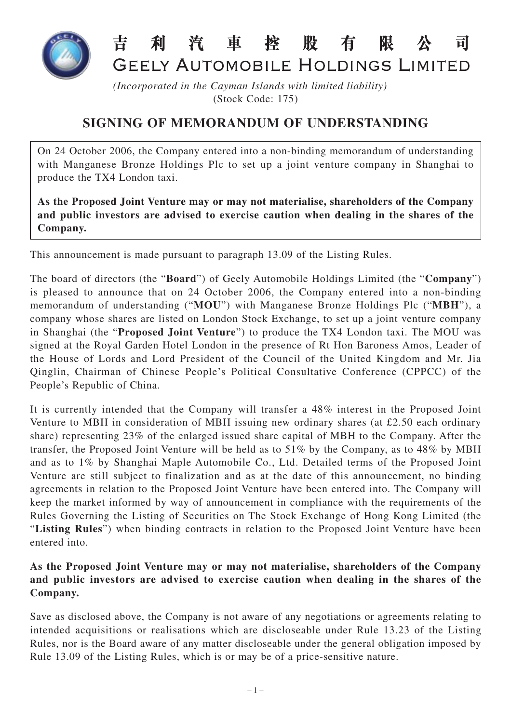

## 昔 利 汽 車 榁 股 有 限 न्न GEELY AUTOMOBILE HOLDINGS LIMITED

*(Incorporated in the Cayman Islands with limited liability)* (Stock Code: 175)

## **SIGNING OF MEMORANDUM OF UNDERSTANDING**

On 24 October 2006, the Company entered into a non-binding memorandum of understanding with Manganese Bronze Holdings Plc to set up a joint venture company in Shanghai to produce the TX4 London taxi.

**As the Proposed Joint Venture may or may not materialise, shareholders of the Company and public investors are advised to exercise caution when dealing in the shares of the Company.**

This announcement is made pursuant to paragraph 13.09 of the Listing Rules.

The board of directors (the "**Board**") of Geely Automobile Holdings Limited (the "**Company**") is pleased to announce that on 24 October 2006, the Company entered into a non-binding memorandum of understanding ("**MOU**") with Manganese Bronze Holdings Plc ("**MBH**"), a company whose shares are listed on London Stock Exchange, to set up a joint venture company in Shanghai (the "**Proposed Joint Venture**") to produce the TX4 London taxi. The MOU was signed at the Royal Garden Hotel London in the presence of Rt Hon Baroness Amos, Leader of the House of Lords and Lord President of the Council of the United Kingdom and Mr. Jia Qinglin, Chairman of Chinese People's Political Consultative Conference (CPPCC) of the People's Republic of China.

It is currently intended that the Company will transfer a 48% interest in the Proposed Joint Venture to MBH in consideration of MBH issuing new ordinary shares (at £2.50 each ordinary share) representing 23% of the enlarged issued share capital of MBH to the Company. After the transfer, the Proposed Joint Venture will be held as to 51% by the Company, as to 48% by MBH and as to 1% by Shanghai Maple Automobile Co., Ltd. Detailed terms of the Proposed Joint Venture are still subject to finalization and as at the date of this announcement, no binding agreements in relation to the Proposed Joint Venture have been entered into. The Company will keep the market informed by way of announcement in compliance with the requirements of the Rules Governing the Listing of Securities on The Stock Exchange of Hong Kong Limited (the "**Listing Rules**") when binding contracts in relation to the Proposed Joint Venture have been entered into.

## **As the Proposed Joint Venture may or may not materialise, shareholders of the Company and public investors are advised to exercise caution when dealing in the shares of the Company.**

Save as disclosed above, the Company is not aware of any negotiations or agreements relating to intended acquisitions or realisations which are discloseable under Rule 13.23 of the Listing Rules, nor is the Board aware of any matter discloseable under the general obligation imposed by Rule 13.09 of the Listing Rules, which is or may be of a price-sensitive nature.